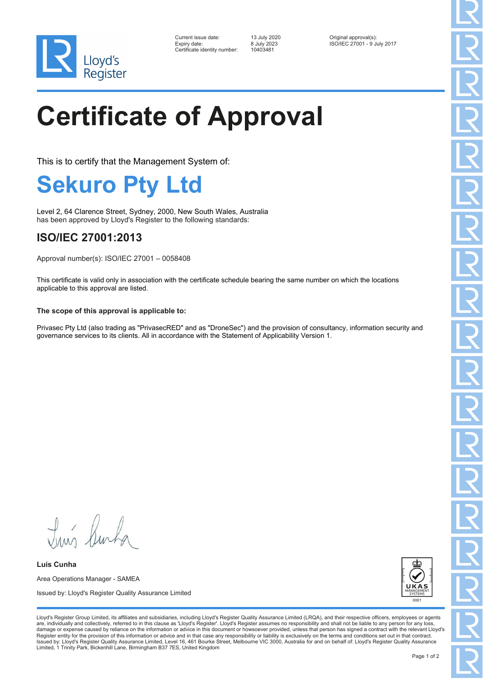

| Current issue date:         |
|-----------------------------|
| Expiry date:                |
| Certificate identitv number |

Certificate identity number: 10403481

Current issue date: 13 July 2020 Original approval(s): Expiry date: 8 July 2023 ISO/IEC 27001 - 9 July 2017

# **Certificate of Approval**

This is to certify that the Management System of:

### **Sekuro Pty Ltd**

Level 2, 64 Clarence Street, Sydney, 2000, New South Wales, Australia has been approved by Lloyd's Register to the following standards:

### **ISO/IEC 27001:2013**

Approval number(s): ISO/IEC 27001 – 0058408

This certificate is valid only in association with the certificate schedule bearing the same number on which the locations applicable to this approval are listed.

### **The scope of this approval is applicable to:**

Privasec Pty Ltd (also trading as "PrivasecRED" and as "DroneSec") and the provision of consultancy, information security and governance services to its clients. All in accordance with the Statement of Applicability Version 1.

Tung Burk

**Luis Cunha** Area Operations Manager - SAMEA Issued by: Lloyd's Register Quality Assurance Limited



Lloyd's Register Group Limited, its affiliates and subsidiaries, including Lloyd's Register Quality Assurance Limited (LRQA), and their respective officers, employees or agents are, individually and collectively, referred to in this clause as 'Lloyd's Register'. Lloyd's Register assumes no responsibility and shall not be liable to any person for any los damage or expense caused by reliance on the information or advice in this document or howsoever provided, unless that person has signed a contract with the relevant Lloyd's<br>Register entity for the provision of this informa Issued by: Lloyd's Register Quality Assurance Limited, Level 16, 461 Bourke Street, Melbourne VIC 3000, Australia for and on behalf of: Lloyd's Register Quality Assurance Limited, 1 Trinity Park, Bickenhill Lane, Birmingham B37 7ES, United Kingdom